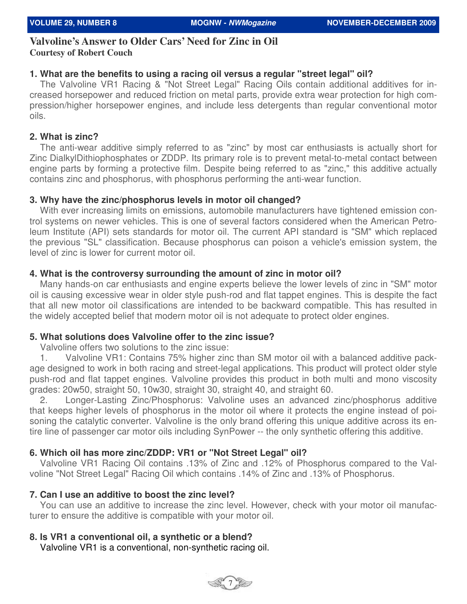# **Valvoline's Answer to Older Cars' Need for Zinc in Oil Courtesy of Robert Couch**

## **1. What are the benefits to using a racing oil versus a regular "street legal" oil?**

 The Valvoline VR1 Racing & "Not Street Legal" Racing Oils contain additional additives for increased horsepower and reduced friction on metal parts, provide extra wear protection for high compression/higher horsepower engines, and include less detergents than regular conventional motor oils.

#### **2. What is zinc?**

 The anti-wear additive simply referred to as "zinc" by most car enthusiasts is actually short for Zinc DialkylDithiophosphates or ZDDP. Its primary role is to prevent metal-to-metal contact between engine parts by forming a protective film. Despite being referred to as "zinc," this additive actually contains zinc and phosphorus, with phosphorus performing the anti-wear function.

#### **3. Why have the zinc/phosphorus levels in motor oil changed?**

With ever increasing limits on emissions, automobile manufacturers have tightened emission control systems on newer vehicles. This is one of several factors considered when the American Petroleum Institute (API) sets standards for motor oil. The current API standard is "SM" which replaced the previous "SL" classification. Because phosphorus can poison a vehicle's emission system, the level of zinc is lower for current motor oil.

## **4. What is the controversy surrounding the amount of zinc in motor oil?**

 Many hands-on car enthusiasts and engine experts believe the lower levels of zinc in "SM" motor oil is causing excessive wear in older style push-rod and flat tappet engines. This is despite the fact that all new motor oil classifications are intended to be backward compatible. This has resulted in the widely accepted belief that modern motor oil is not adequate to protect older engines.

#### **5. What solutions does Valvoline offer to the zinc issue?**

Valvoline offers two solutions to the zinc issue:

 1. Valvoline VR1: Contains 75% higher zinc than SM motor oil with a balanced additive package designed to work in both racing and street-legal applications. This product will protect older style push-rod and flat tappet engines. Valvoline provides this product in both multi and mono viscosity grades: 20w50, straight 50, 10w30, straight 30, straight 40, and straight 60.

 2. Longer-Lasting Zinc/Phosphorus: Valvoline uses an advanced zinc/phosphorus additive that keeps higher levels of phosphorus in the motor oil where it protects the engine instead of poisoning the catalytic converter. Valvoline is the only brand offering this unique additive across its entire line of passenger car motor oils including SynPower -- the only synthetic offering this additive.

## **6. Which oil has more zinc/ZDDP: VR1 or "Not Street Legal" oil?**

 Valvoline VR1 Racing Oil contains .13% of Zinc and .12% of Phosphorus compared to the Valvoline "Not Street Legal" Racing Oil which contains .14% of Zinc and .13% of Phosphorus.

#### **7. Can I use an additive to boost the zinc level?**

 You can use an additive to increase the zinc level. However, check with your motor oil manufacturer to ensure the additive is compatible with your motor oil.

## **8. Is VR1 a conventional oil, a synthetic or a blend?**

Valvoline VR1 is a conventional, non-synthetic racing oil.